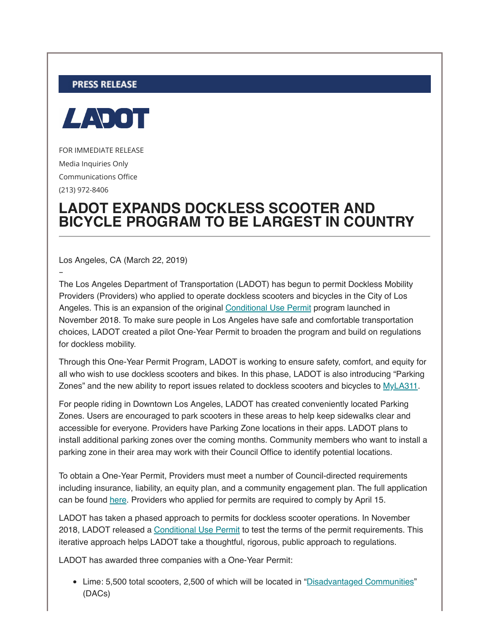## **PRESS RELEASE**



FOR IMMEDIATE RELEASE Media Inquiries Only Communications Office (213) 972-8406

–

## **LADOT EXPANDS DOCKLESS SCOOTER AND BICYCLE PROGRAM TO BE LARGEST IN COUNTRY**

Los Angeles, CA (March 22, 2019)

The Los Angeles Department of Transportation (LADOT) has begun to permit Dockless Mobility Providers (Providers) who applied to operate dockless scooters and bicycles in the City of Los Angeles. This is an expansion of the original [Conditional Use Permit](https://ladot.lacity.org/sites/g/files/wph266/f/LADOTDocklessCP.pdf) program launched in November 2018. To make sure people in Los Angeles have safe and comfortable transportation choices, LADOT created a pilot One-Year Permit to broaden the program and build on regulations for dockless mobility.

Through this One-Year Permit Program, LADOT is working to ensure safety, comfort, and equity for all who wish to use dockless scooters and bikes. In this phase, LADOT is also introducing "Parking Zones" and the new ability to report issues related to dockless scooters and bicycles to [MyLA311](https://www.lacity.org/myla311-service-request).

For people riding in Downtown Los Angeles, LADOT has created conveniently located Parking Zones. Users are encouraged to park scooters in these areas to help keep sidewalks clear and accessible for everyone. Providers have Parking Zone locations in their apps. LADOT plans to install additional parking zones over the coming months. Community members who want to install a parking zone in their area may work with their Council Office to identify potential locations.

To obtain a One-Year Permit, Providers must meet a number of Council-directed requirements including insurance, liability, an equity plan, and a community engagement plan. The full application can be found [here.](http://basic.cityofla.acsitefactory.com/sites/g/files/wph266/f/Final%20One-Year%20Dockless%20Permit.pdf) Providers who applied for permits are required to comply by April 15.

LADOT has taken a phased approach to permits for dockless scooter operations. In November 2018, LADOT released a [Conditional Use Permit](https://ladot.lacity.org/sites/g/files/wph266/f/LADOTDocklessCP.pdf) to test the terms of the permit requirements. This iterative approach helps LADOT take a thoughtful, rigorous, public approach to regulations.

LADOT has awarded three companies with a One-Year Permit:

Lime: 5,500 total scooters, 2,500 of which will be located in "[Disadvantaged Communities"](http://lahub.maps.arcgis.com/home/item.html?id=8baf764cd7a94da4acfac72013f83856) (DACs)